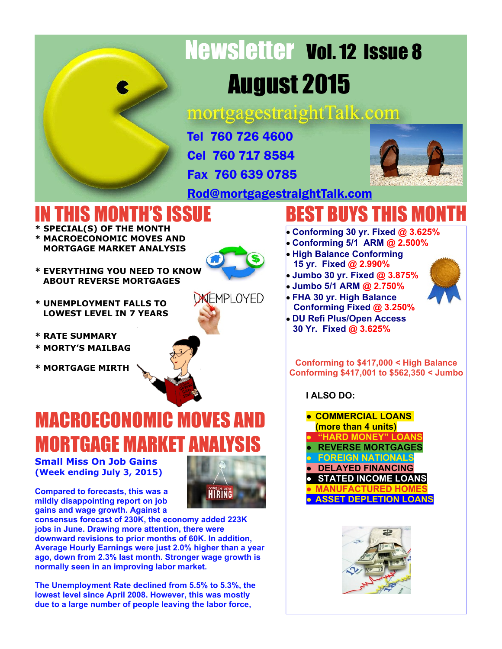# Newsletter Vol. 12 Issue 8 August 2015

mortgagestraightTalk.com

Tel 760 726 4600 Cel 760 717 8584

Fax 760 639 0785



[Rod@mortgagestraightTalk.com](mailto:Rod@MortgageStraightTalk.com)

### IN THIS MONTH'S ISSUE

- **\* SPECIAL(S) OF THE MONTH \* MACROECONOMIC MOVES AND MORTGAGE MARKET ANALYSIS**
- **\* EVERYTHING YOU NEED TO KNOW ABOUT REVERSE MORTGAGES**
- 
- **\* UNEMPLOYMENT FALLS TO LOWEST LEVEL IN 7 YEARS**
- **\* RATE SUMMARY**
- **\* MORTY'S MAILBAG**
- **\* MORTGAGE MIRTH**



**UNEMPLOYED** 

## MACROECONOMIC MOVES AND **MORTGAGE MARKET A**

**Small Miss On Job Gains (Week ending July 3, 2015)**

**HIRING** 

**Compared to forecasts, this was a mildly disappointing report on job gains and wage growth. Against a**



**The Unemployment Rate declined from 5.5% to 5.3%, the lowest level since April 2008. However, this was mostly due to a large number of people leaving the labor force,**

### BEST BUYS THIS MONTH

- **Conforming 30 yr. Fixed @ 3.625%**
- **Conforming 5/1 ARM @ 2.500%**
- **High Balance Conforming 15 yr. Fixed @ 2.990%**
- **Jumbo 30 yr. Fixed @ 3.875%**
- **Jumbo 5/1 ARM @ 2.750%**
- **FHA 30 yr. High Balance**
- **Conforming Fixed @ 3.250% DU Refi Plus/Open Access**
- **30 Yr. Fixed @ 3.625%**

**Conforming to \$417,000 < High Balance Conforming \$417,001 to \$562,350 < Jumbo**

 **I ALSO DO:**

**● COMMERCIAL LOANS (more than 4 units) BARD MONEY" LC ● REVERSE MORTGAGES ● FOREIGN NATIONALS ● DELAYED FINANCING ● STATED INCOME LOANS ● MANUFACTURED HOMES ● ASSET DEPLETION LOANS**



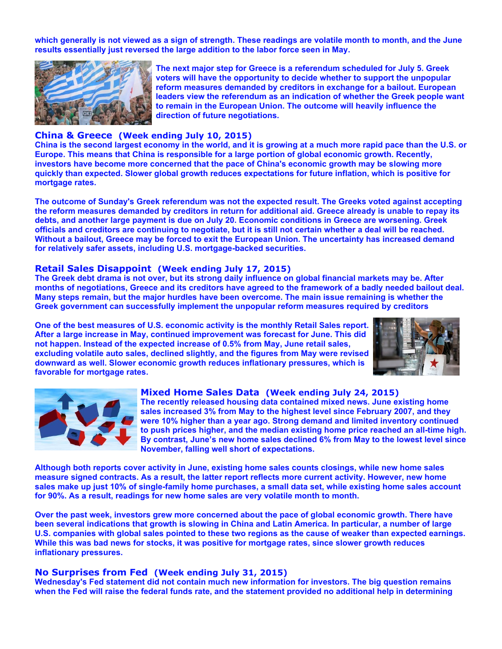**which generally is not viewed as a sign of strength. These readings are volatile month to month, and the June results essentially just reversed the large addition to the labor force seen in May.**



**The next major step for Greece is a referendum scheduled for July 5. Greek voters will have the opportunity to decide whether to support the unpopular reform measures demanded by creditors in exchange for a bailout. European leaders view the referendum as an indication of whether the Greek people want to remain in the European Union. The outcome will heavily influence the direction of future negotiations.**

#### **China & Greece (Week ending July 10, 2015)**

**China is the second largest economy in the world, and it is growing at a much more rapid pace than the U.S. or Europe. This means that China is responsible for a large portion of global economic growth. Recently, investors have become more concerned that the pace of China's economic growth may be slowing more quickly than expected. Slower global growth reduces expectations for future inflation, which is positive for mortgage rates.**

**The outcome of Sunday's Greek referendum was not the expected result. The Greeks voted against accepting the reform measures demanded by creditors in return for additional aid. Greece already is unable to repay its debts, and another large payment is due on July 20. Economic conditions in Greece are worsening. Greek officials and creditors are continuing to negotiate, but it is still not certain whether a deal will be reached. Without a bailout, Greece may be forced to exit the European Union. The uncertainty has increased demand for relatively safer assets, including U.S. mortgage-backed securities.**

#### **Retail Sales Disappoint (Week ending July 17, 2015)**

**The Greek debt drama is not over, but its strong daily influence on global financial markets may be. After months of negotiations, Greece and its creditors have agreed to the framework of a badly needed bailout deal. Many steps remain, but the major hurdles have been overcome. The main issue remaining is whether the Greek government can successfully implement the unpopular reform measures required by creditors**

**One of the best measures of U.S. economic activity is the monthly Retail Sales report. After a large increase in May, continued improvement was forecast for June. This did not happen. Instead of the expected increase of 0.5% from May, June retail sales, excluding volatile auto sales, declined slightly, and the figures from May were revised downward as well. Slower economic growth reduces inflationary pressures, which is favorable for mortgage rates.**





#### **Mixed Home Sales Data (Week ending July 24, 2015)**

**The recently released housing data contained mixed news. June existing home sales increased 3% from May to the highest level since February 2007, and they were 10% higher than a year ago. Strong demand and limited inventory continued to push prices higher, and the median existing home price reached an all-time high. By contrast, June's new home sales declined 6% from May to the lowest level since November, falling well short of expectations.**

**Although both reports cover activity in June, existing home sales counts closings, while new home sales measure signed contracts. As a result, the latter report reflects more current activity. However, new home sales make up just 10% of single-family home purchases, a small data set, while existing home sales account for 90%. As a result, readings for new home sales are very volatile month to month.**

**Over the past week, investors grew more concerned about the pace of global economic growth. There have been several indications that growth is slowing in China and Latin America. In particular, a number of large U.S. companies with global sales pointed to these two regions as the cause of weaker than expected earnings. While this was bad news for stocks, it was positive for mortgage rates, since slower growth reduces inflationary pressures.**

#### **No Surprises from Fed (Week ending July 31, 2015)**

**Wednesday's Fed statement did not contain much new information for investors. The big question remains when the Fed will raise the federal funds rate, and the statement provided no additional help in determining**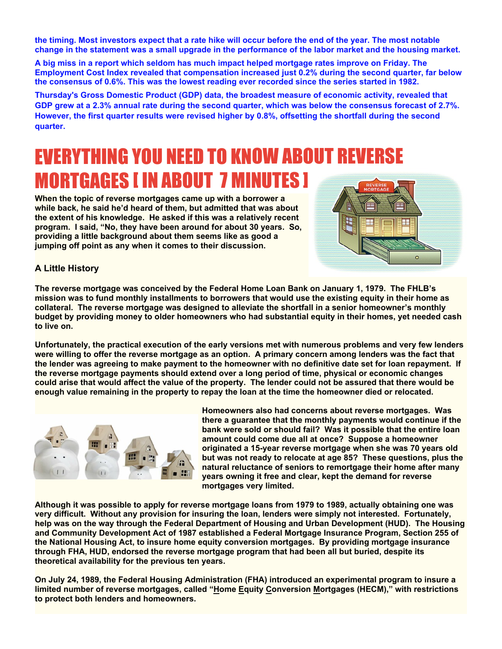**the timing. Most investors expect that a rate hike will occur before the end of the year. The most notable change in the statement was a small upgrade in the performance of the labor market and the housing market.**

**A big miss in a report which seldom has much impact helped mortgage rates improve on Friday. The Employment Cost Index revealed that compensation increased just 0.2% during the second quarter, far below the consensus of 0.6%. This was the lowest reading ever recorded since the series started in 1982.**

**Thursday's Gross Domestic Product (GDP) data, the broadest measure of economic activity, revealed that GDP grew at a 2.3% annual rate during the second quarter, which was below the consensus forecast of 2.7%. However, the first quarter results were revised higher by 0.8%, offsetting the shortfall during the second quarter.**

### EVERYTHING YOU NEED TO KNOW ABOUT REVERSE MORTGAGES [ IN ABOUT 7 MINUTES ]

**When the topic of reverse mortgages came up with a borrower a while back, he said he'd heard of them, but admitted that was about the extent of his knowledge. He asked if this was a relatively recent program. I said, "No, they have been around for about 30 years. So, providing a little background about them seems like as good a jumping off point as any when it comes to their discussion.**



#### **A Little History**

**The reverse mortgage was conceived by the Federal Home Loan Bank on January 1, 1979. The FHLB's mission was to fund monthly installments to borrowers that would use the existing equity in their home as collateral. The reverse mortgage was designed to alleviate the shortfall in a senior homeowner's monthly budget by providing money to older homeowners who had substantial equity in their homes, yet needed cash to live on.**

**Unfortunately, the practical execution of the early versions met with numerous problems and very few lenders were willing to offer the reverse mortgage as an option. A primary concern among lenders was the fact that the lender was agreeing to make payment to the homeowner with no definitive date set for loan repayment. If the reverse mortgage payments should extend over a long period of time, physical or economic changes could arise that would affect the value of the property. The lender could not be assured that there would be enough value remaining in the property to repay the loan at the time the homeowner died or relocated.**



**Homeowners also had concerns about reverse mortgages. Was there a guarantee that the monthly payments would continue if the bank were sold or should fail? Was it possible that the entire loan amount could come due all at once? Suppose a homeowner originated a 15-year reverse mortgage when she was 70 years old but was not ready to relocate at age 85? These questions, plus the natural reluctance of seniors to remortgage their home after many years owning it free and clear, kept the demand for reverse mortgages very limited.**

**Although it was possible to apply for reverse mortgage loans from 1979 to 1989, actually obtaining one was very difficult. Without any provision for insuring the loan, lenders were simply not interested. Fortunately, help was on the way through the Federal Department of Housing and Urban Development (HUD). The Housing and Community Development Act of 1987 established a Federal Mortgage Insurance Program, Section 255 of the National Housing Act, to insure home equity conversion mortgages. By providing mortgage insurance through FHA, HUD, endorsed the reverse mortgage program that had been all but buried, despite its theoretical availability for the previous ten years.**

**On July 24, 1989, the Federal Housing Administration (FHA) introduced an experimental program to insure a limited number of reverse mortgages, called "Home Equity Conversion Mortgages (HECM)," with restrictions to protect both lenders and homeowners.**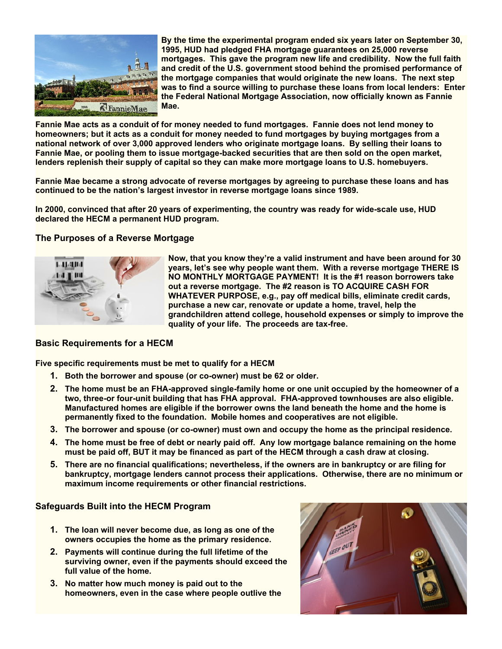

**By the time the experimental program ended six years later on September 30, 1995, HUD had pledged FHA mortgage guarantees on 25,000 reverse mortgages. This gave the program new life and credibility. Now the full faith and credit of the U.S. government stood behind the promised performance of the mortgage companies that would originate the new loans. The next step was to find a source willing to purchase these loans from local lenders: Enter the Federal National Mortgage Association, now officially known as Fannie Mae.**

**Fannie Mae acts as a conduit of for money needed to fund mortgages. Fannie does not lend money to homeowners; but it acts as a conduit for money needed to fund mortgages by buying mortgages from a national network of over 3,000 approved lenders who originate mortgage loans. By selling their loans to Fannie Mae, or pooling them to issue mortgage-backed securities that are then sold on the open market, lenders replenish their supply of capital so they can make more mortgage loans to U.S. homebuyers.**

**Fannie Mae became a strong advocate of reverse mortgages by agreeing to purchase these loans and has continued to be the nation's largest investor in reverse mortgage loans since 1989.**

**In 2000, convinced that after 20 years of experimenting, the country was ready for wide-scale use, HUD declared the HECM a permanent HUD program.**

#### **The Purposes of a Reverse Mortgage**



**Now, that you know they're a valid instrument and have been around for 30 years, let's see why people want them. With a reverse mortgage THERE IS NO MONTHLY MORTGAGE PAYMENT! It is the #1 reason borrowers take out a reverse mortgage. The #2 reason is TO ACQUIRE CASH FOR WHATEVER PURPOSE, e.g., pay off medical bills, eliminate credit cards, purchase a new car, renovate or update a home, travel, help the grandchildren attend college, household expenses or simply to improve the quality of your life. The proceeds are tax-free.**

#### **Basic Requirements for a HECM**

**Five specific requirements must be met to qualify for a HECM**

- **1. Both the borrower and spouse (or co-owner) must be 62 or older.**
- **2. The home must be an FHA-approved single-family home or one unit occupied by the homeowner of a two, three-or four-unit building that has FHA approval. FHA-approved townhouses are also eligible. Manufactured homes are eligible if the borrower owns the land beneath the home and the home is permanently fixed to the foundation. Mobile homes and cooperatives are not eligible.**
- **3. The borrower and spouse (or co-owner) must own and occupy the home as the principal residence.**
- **4. The home must be free of debt or nearly paid off. Any low mortgage balance remaining on the home must be paid off, BUT it may be financed as part of the HECM through a cash draw at closing.**
- **5. There are no financial qualifications; nevertheless, if the owners are in bankruptcy or are filing for bankruptcy, mortgage lenders cannot process their applications. Otherwise, there are no minimum or maximum income requirements or other financial restrictions.**

#### **Safeguards Built into the HECM Program**

- **1. The loan will never become due, as long as one of the owners occupies the home as the primary residence.**
- **2. Payments will continue during the full lifetime of the surviving owner, even if the payments should exceed the full value of the home.**
- **3. No matter how much money is paid out to the homeowners, even in the case where people outlive the**

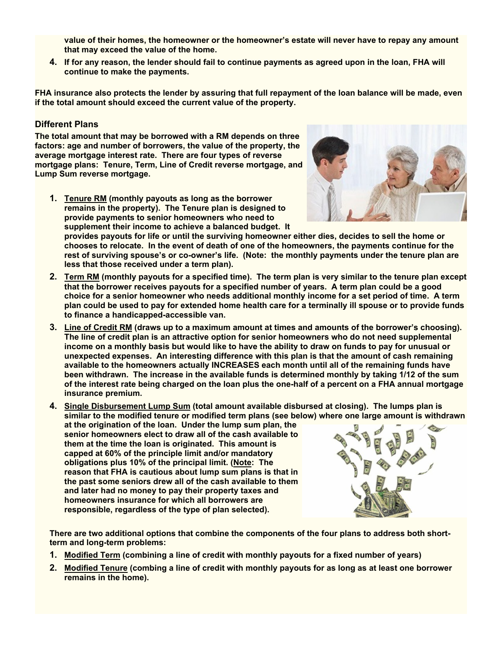**value of their homes, the homeowner or the homeowner's estate will never have to repay any amount that may exceed the value of the home.**

**4. If for any reason, the lender should fail to continue payments as agreed upon in the loan, FHA will continue to make the payments.**

**FHA insurance also protects the lender by assuring that full repayment of the loan balance will be made, even if the total amount should exceed the current value of the property.**

#### **Different Plans**

**The total amount that may be borrowed with a RM depends on three factors: age and number of borrowers, the value of the property, the average mortgage interest rate. There are four types of reverse mortgage plans: Tenure, Term, Line of Credit reverse mortgage, and Lump Sum reverse mortgage.**

**1. Tenure RM (monthly payouts as long as the borrower remains in the property). The Tenure plan is designed to provide payments to senior homeowners who need to supplement their income to achieve a balanced budget. It**



**provides payouts for life or until the surviving homeowner either dies, decides to sell the home or chooses to relocate. In the event of death of one of the homeowners, the payments continue for the rest of surviving spouse's or co-owner's life. (Note: the monthly payments under the tenure plan are less that those received under a term plan).**

- **2. Term RM (monthly payouts for a specified time). The term plan is very similar to the tenure plan except that the borrower receives payouts for a specified number of years. A term plan could be a good choice for a senior homeowner who needs additional monthly income for a set period of time. A term plan could be used to pay for extended home health care for a terminally ill spouse or to provide funds to finance a handicapped-accessible van.**
- **3. Line of Credit RM (draws up to a maximum amount at times and amounts of the borrower's choosing). The line of credit plan is an attractive option for senior homeowners who do not need supplemental income on a monthly basis but would like to have the ability to draw on funds to pay for unusual or unexpected expenses. An interesting difference with this plan is that the amount of cash remaining available to the homeowners actually INCREASES each month until all of the remaining funds have been withdrawn. The increase in the available funds is determined monthly by taking 1/12 of the sum of the interest rate being charged on the loan plus the one-half of a percent on a FHA annual mortgage insurance premium.**

**4. Single Disbursement Lump Sum (total amount available disbursed at closing). The lumps plan is similar to the modified tenure or modified term plans (see below) where one large amount is withdrawn**

**at the origination of the loan. Under the lump sum plan, the senior homeowners elect to draw all of the cash available to them at the time the loan is originated. This amount is capped at 60% of the principle limit and/or mandatory obligations plus 10% of the principal limit. (Note: The reason that FHA is cautious about lump sum plans is that in the past some seniors drew all of the cash available to them and later had no money to pay their property taxes and homeowners insurance for which all borrowers are responsible, regardless of the type of plan selected).**



**There are two additional options that combine the components of the four plans to address both shortterm and long-term problems:**

- **1. Modified Term (combining a line of credit with monthly payouts for a fixed number of years)**
- **2. Modified Tenure (combing a line of credit with monthly payouts for as long as at least one borrower remains in the home).**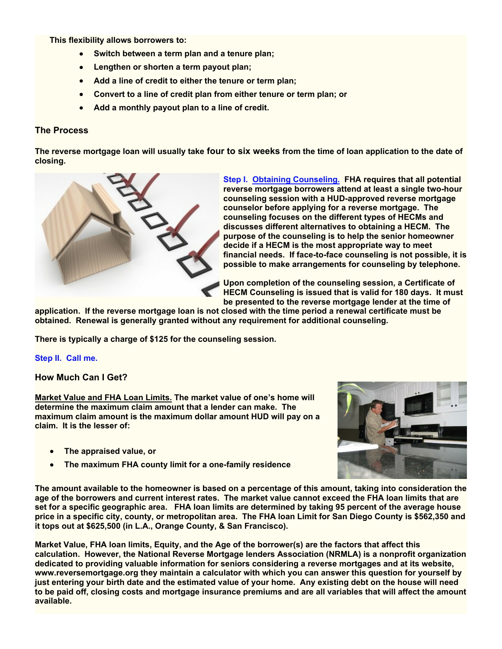**This flexibility allows borrowers to:**

- **Switch between a term plan and a tenure plan;**
- **Lengthen or shorten a term payout plan;**
- **Add a line of credit to either the tenure or term plan;**
- **Convert to a line of credit plan from either tenure or term plan; or**
- **Add a monthly payout plan to a line of credit.**

#### **The Process**

**The reverse mortgage loan will usually take four to six weeks from the time of loan application to the date of closing.**



**Step I. Obtaining Counseling. FHA requires that all potential reverse mortgage borrowers attend at least a single two-hour counseling session with a HUD-approved reverse mortgage counselor before applying for a reverse mortgage. The counseling focuses on the different types of HECMs and discusses different alternatives to obtaining a HECM. The purpose of the counseling is to help the senior homeowner decide if a HECM is the most appropriate way to meet financial needs. If face-to-face counseling is not possible, it is possible to make arrangements for counseling by telephone.**

**Upon completion of the counseling session, a Certificate of HECM Counseling is issued that is valid for 180 days. It must be presented to the reverse mortgage lender at the time of**

**application. If the reverse mortgage loan is not closed with the time period a renewal certificate must be obtained. Renewal is generally granted without any requirement for additional counseling.**

**There is typically a charge of \$125 for the counseling session.**

**Step II. Call me.**

**How Much Can I Get?**

**Market Value and FHA Loan Limits. The market value of one's home will determine the maximum claim amount that a lender can make. The maximum claim amount is the maximum dollar amount HUD will pay on a claim. It is the lesser of:**

- **The appraised value, or**
- **The maximum FHA county limit for a one-family residence**  $\bullet$

**The amount available to the homeowner is based on a percentage of this amount, taking into consideration the age of the borrowers and current interest rates. The market value cannot exceed the FHA loan limits that are set for a specific geographic area. FHA loan limits are determined by taking 95 percent of the average house price in a specific city, county, or metropolitan area. The FHA loan Limit for San Diego County is \$562,350 and it tops out at \$625,500 (in L.A., Orange County, & San Francisco).**

**Market Value, FHA loan limits, Equity, and the Age of the borrower(s) are the factors that affect this calculation. However, the National Reverse Mortgage lenders Association (NRMLA) is a nonprofit organization dedicated to providing valuable information for seniors considering a reverse mortgages and at its website, www.reversemortgage.org they maintain a calculator with which you can answer this question for yourself by just entering your birth date and the estimated value of your home. Any existing debt on the house will need to be paid off, closing costs and mortgage insurance premiums and are all variables that will affect the amount available.**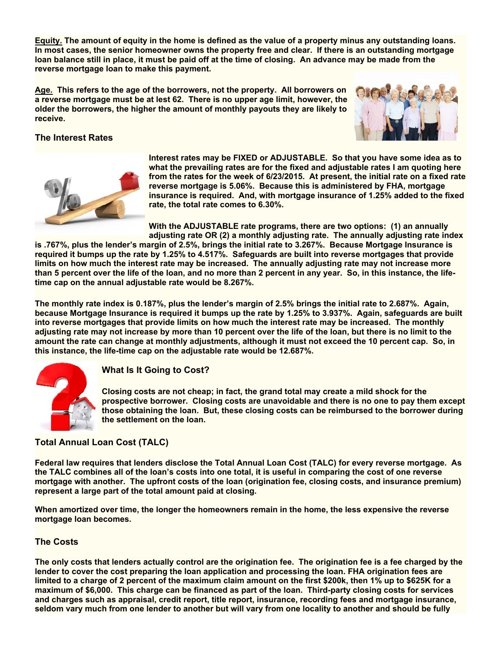**Equity. The amount of equity in the home is defined as the value of a property minus any outstanding loans. In most cases, the senior homeowner owns the property free and clear. If there is an outstanding mortgage loan balance still in place, it must be paid off at the time of closing. An advance may be made from the reverse mortgage loan to make this payment.**

**Age. This refers to the age of the borrowers, not the property. All borrowers on a reverse mortgage must be at lest 62. There is no upper age limit, however, the older the borrowers, the higher the amount of monthly payouts they are likely to receive.**



#### **The Interest Rates**



**Interest rates may be FIXED or ADJUSTABLE. So that you have some idea as to what the prevailing rates are for the fixed and adjustable rates I am quoting here from the rates for the week of 6/23/2015. At present, the initial rate on a fixed rate reverse mortgage is 5.06%. Because this is administered by FHA, mortgage insurance is required. And, with mortgage insurance of 1.25% added to the fixed rate, the total rate comes to 6.30%.**

**With the ADJUSTABLE rate programs, there are two options: (1) an annually adjusting rate OR (2) a monthly adjusting rate. The annually adjusting rate index**

**is .767%, plus the lender's margin of 2.5%, brings the initial rate to 3.267%. Because Mortgage Insurance is required it bumps up the rate by 1.25% to 4.517%. Safeguards are built into reverse mortgages that provide limits on how much the interest rate may be increased. The annually adjusting rate may not increase more than 5 percent over the life of the loan, and no more than 2 percent in any year. So, in this instance, the lifetime cap on the annual adjustable rate would be 8.267%.**

**The monthly rate index is 0.187%, plus the lender's margin of 2.5% brings the initial rate to 2.687%. Again, because Mortgage Insurance is required it bumps up the rate by 1.25% to 3.937%. Again, safeguards are built into reverse mortgages that provide limits on how much the interest rate may be increased. The monthly adjusting rate may not increase by more than 10 percent over the life of the loan, but there is no limit to the amount the rate can change at monthly adjustments, although it must not exceed the 10 percent cap. So, in this instance, the life-time cap on the adjustable rate would be 12.687%.**



#### **What Is It Going to Cost?**

**Closing costs are not cheap; in fact, the grand total may create a mild shock for the prospective borrower. Closing costs are unavoidable and there is no one to pay them except those obtaining the loan. But, these closing costs can be reimbursed to the borrower during the settlement on the loan.**

#### **Total Annual Loan Cost (TALC)**

**Federal law requires that lenders disclose the Total Annual Loan Cost (TALC) for every reverse mortgage. As the TALC combines all of the loan's costs into one total, it is useful in comparing the cost of one reverse mortgage with another. The upfront costs of the loan (origination fee, closing costs, and insurance premium) represent a large part of the total amount paid at closing.**

**When amortized over time, the longer the homeowners remain in the home, the less expensive the reverse mortgage loan becomes.**

#### **The Costs**

**The only costs that lenders actually control are the origination fee. The origination fee is a fee charged by the lender to cover the cost preparing the loan application and processing the loan. FHA origination fees are limited to a charge of 2 percent of the maximum claim amount on the first \$200k, then 1% up to \$625K for a maximum of \$6,000. This charge can be financed as part of the loan. Third-party closing costs for services and charges such as appraisal, credit report, title report, insurance, recording fees and mortgage insurance, seldom vary much from one lender to another but will vary from one locality to another and should be fully**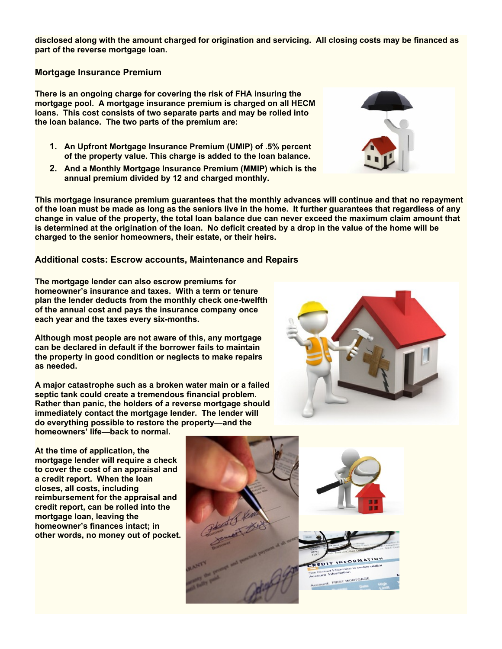**disclosed along with the amount charged for origination and servicing. All closing costs may be financed as part of the reverse mortgage loan.**

#### **Mortgage Insurance Premium**

**There is an ongoing charge for covering the risk of FHA insuring the mortgage pool. A mortgage insurance premium is charged on all HECM loans. This cost consists of two separate parts and may be rolled into the loan balance. The two parts of the premium are:**

- **1. An Upfront Mortgage Insurance Premium (UMIP) of .5% percent of the property value. This charge is added to the loan balance.**
- **2. And a Monthly Mortgage Insurance Premium (MMIP) which is the annual premium divided by 12 and charged monthly.**

**This mortgage insurance premium guarantees that the monthly advances will continue and that no repayment of the loan must be made as long as the seniors live in the home. It further guarantees that regardless of any change in value of the property, the total loan balance due can never exceed the maximum claim amount that is determined at the origination of the loan. No deficit created by a drop in the value of the home will be charged to the senior homeowners, their estate, or their heirs.**

#### **Additional costs: Escrow accounts, Maintenance and Repairs**

**The mortgage lender can also escrow premiums for homeowner's insurance and taxes. With a term or tenure plan the lender deducts from the monthly check one-twelfth of the annual cost and pays the insurance company once each year and the taxes every six-months.**

**Although most people are not aware of this, any mortgage can be declared in default if the borrower fails to maintain the property in good condition or neglects to make repairs as needed.**

**A major catastrophe such as a broken water main or a failed septic tank could create a tremendous financial problem. Rather than panic, the holders of a reverse mortgage should immediately contact the mortgage lender. The lender will do everything possible to restore the property—and the homeowners' life—back to normal.**







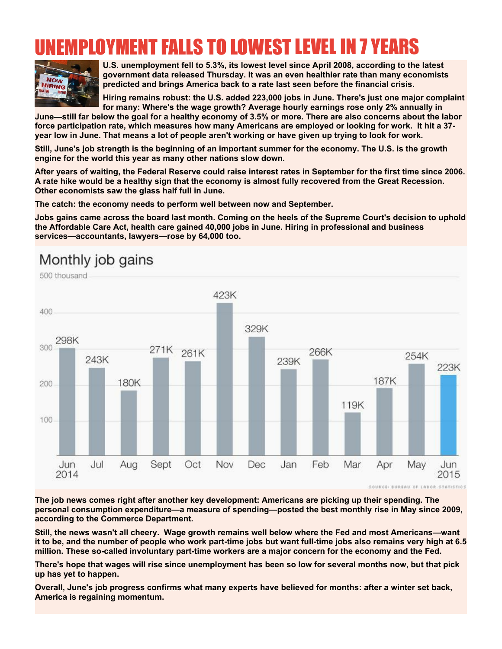### LOYMENT FALLS TO LOWEST LEVEL IN 7



**U.S. unemployment fell to 5.3%, its lowest level since April 2008, according to the latest government data released Thursday. It was an even healthier rate than many economists predicted and brings America back to a rate last seen before the financial crisis.**

**Hiring remains robust: the U.S. added 223,000 jobs in June. There's just one major complaint for many: Where's the wage growth? Average hourly earnings rose only 2% annually in**

**June—still far below the goal for a healthy economy of 3.5% or more. There are also concerns about the labor force participation rate, which measures how many Americans are employed or looking for work. It hit a 37 year low in June. That means a lot of people aren't working or have given up trying to look for work.**

**Still, June's job strength is the beginning of an important summer for the economy. The U.S. is the growth engine for the world this year as many other nations slow down.**

**After years of waiting, the Federal Reserve could raise interest rates in September for the first time since 2006. A rate hike would be a healthy sign that the economy is almost fully recovered from the Great Recession. Other economists saw the glass half full in June.**

**The catch: the economy needs to perform well between now and September.**

**Jobs gains came across the board last month. Coming on the heels of the Supreme Court's decision to uphold the Affordable Care Act, health care gained 40,000 jobs in June. Hiring in professional and business services—accountants, lawyers—rose by 64,000 too.**

### Monthly job gains



**The job news comes right after another key development: Americans are picking up their spending. The personal consumption expenditure—a measure of spending—posted the best monthly rise in May since 2009, according to the Commerce Department.**

**Still, the news wasn't all cheery. Wage growth remains well below where the Fed and most Americans—want it to be, and the number of people who work part-time jobs but want full-time jobs also remains very high at 6.5 million. These so-called involuntary part-time workers are a major concern for the economy and the Fed.**

**There's hope that wages will rise since unemployment has been so low for several months now, but that pick up has yet to happen.**

**Overall, June's job progress confirms what many experts have believed for months: after a winter set back, America is regaining momentum.**